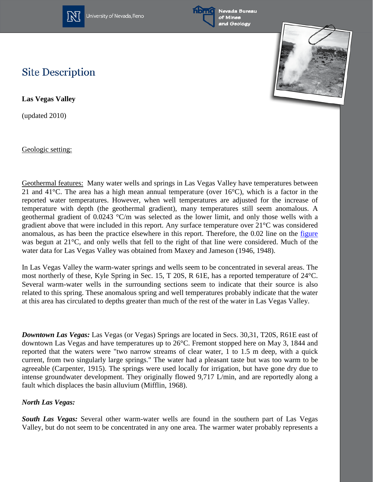

University of Nevada, Reno



Nevada Bureau and Geology



## **Site Description**

**Las Vegas Valley**

(updated 2010)

Geologic setting:

Geothermal features: Many water wells and springs in Las Vegas Valley have temperatures between 21 and 41 $^{\circ}$ C. The area has a high mean annual temperature (over 16 $^{\circ}$ C), which is a factor in the reported water temperatures. However, when well temperatures are adjusted for the increase of temperature with depth (the geothermal gradient), many temperatures still seem anomalous. A geothermal gradient of 0.0243 °C/m was selected as the lower limit, and only those wells with a gradient above that were included in this report. Any surface temperature over 21°C was considered anomalous, as has been the practice elsewhere in this report. Therefore, the 0.02 line on the [figure](http://www.nbmg.unr.edu/geothermal/figures/fig15.pdf) was begun at 21°C, and only wells that fell to the right of that line were considered. Much of the water data for Las Vegas Valley was obtained from Maxey and Jameson (1946, 1948).

In Las Vegas Valley the warm-water springs and wells seem to be concentrated in several areas. The most northerly of these, Kyle Spring in Sec. 15, T 20S, R 61E, has a reported temperature of 24°C. Several warm-water wells in the surrounding sections seem to indicate that their source is also related to this spring. These anomalous spring and well temperatures probably indicate that the water at this area has circulated to depths greater than much of the rest of the water in Las Vegas Valley.

*Downtown Las Vegas:* Las Vegas (or Vegas) Springs are located in Secs. 30,31, T20S, R61E east of downtown Las Vegas and have temperatures up to 26°C. Fremont stopped here on May 3, 1844 and reported that the waters were "two narrow streams of clear water, 1 to 1.5 m deep, with a quick current, from two singularly large springs." The water had a pleasant taste but was too warm to be agreeable (Carpenter, 1915). The springs were used locally for irrigation, but have gone dry due to intense groundwater development. They originally flowed 9,717 L/min, and are reportedly along a fault which displaces the basin alluvium (Mifflin, 1968).

## *North Las Vegas:*

*South Las Vegas:* Several other warm-water wells are found in the southern part of Las Vegas Valley, but do not seem to be concentrated in any one area. The warmer water probably represents a